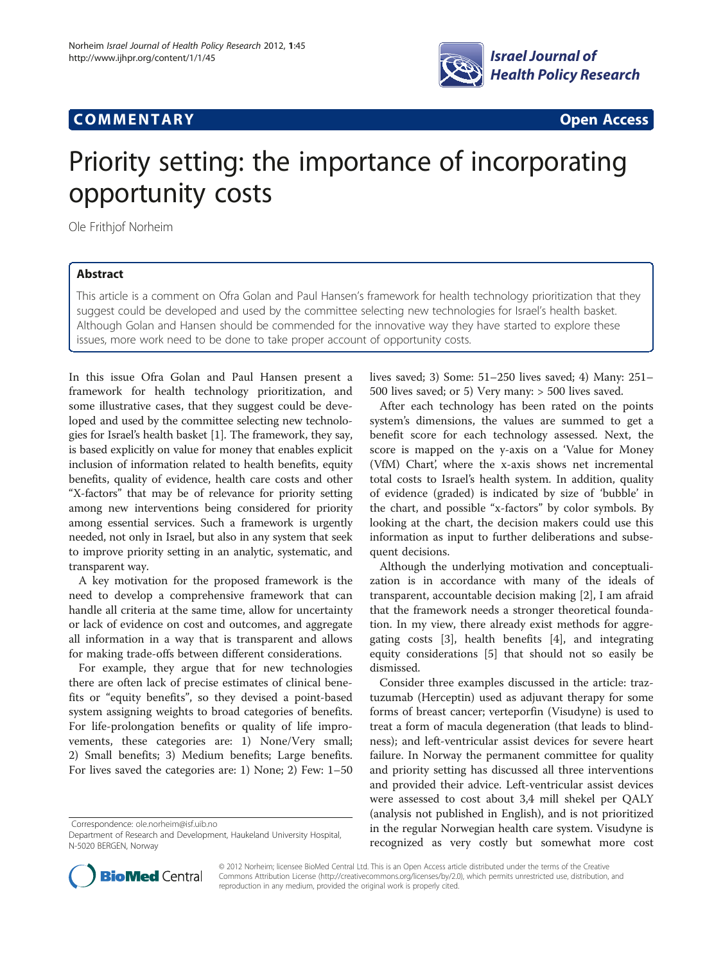

# **COMMENTARY COMMENTARY Open Access**

# Priority setting: the importance of incorporating opportunity costs

Ole Frithjof Norheim

## Abstract

This article is a comment on Ofra Golan and Paul Hansen's framework for health technology prioritization that they suggest could be developed and used by the committee selecting new technologies for Israel's health basket. Although Golan and Hansen should be commended for the innovative way they have started to explore these issues, more work need to be done to take proper account of opportunity costs.

In this issue Ofra Golan and Paul Hansen present a framework for health technology prioritization, and some illustrative cases, that they suggest could be developed and used by the committee selecting new technologies for Israel's health basket [[1](#page-1-0)]. The framework, they say, is based explicitly on value for money that enables explicit inclusion of information related to health benefits, equity benefits, quality of evidence, health care costs and other "X-factors" that may be of relevance for priority setting among new interventions being considered for priority among essential services. Such a framework is urgently needed, not only in Israel, but also in any system that seek to improve priority setting in an analytic, systematic, and transparent way.

A key motivation for the proposed framework is the need to develop a comprehensive framework that can handle all criteria at the same time, allow for uncertainty or lack of evidence on cost and outcomes, and aggregate all information in a way that is transparent and allows for making trade-offs between different considerations.

For example, they argue that for new technologies there are often lack of precise estimates of clinical benefits or "equity benefits", so they devised a point-based system assigning weights to broad categories of benefits. For life-prolongation benefits or quality of life improvements, these categories are: 1) None/Very small; 2) Small benefits; 3) Medium benefits; Large benefits. For lives saved the categories are: 1) None; 2) Few: 1–50

Correspondence: [ole.norheim@isf.uib.no](mailto:ole.norheim@isf.uib.no)



After each technology has been rated on the points system's dimensions, the values are summed to get a benefit score for each technology assessed. Next, the score is mapped on the y-axis on a 'Value for Money (VfM) Chart', where the x-axis shows net incremental total costs to Israel's health system. In addition, quality of evidence (graded) is indicated by size of 'bubble' in the chart, and possible "x-factors" by color symbols. By looking at the chart, the decision makers could use this information as input to further deliberations and subsequent decisions.

Although the underlying motivation and conceptualization is in accordance with many of the ideals of transparent, accountable decision making [[2\]](#page-1-0), I am afraid that the framework needs a stronger theoretical foundation. In my view, there already exist methods for aggregating costs [\[3](#page-1-0)], health benefits [\[4\]](#page-1-0), and integrating equity considerations [\[5](#page-1-0)] that should not so easily be dismissed.

Consider three examples discussed in the article: traztuzumab (Herceptin) used as adjuvant therapy for some forms of breast cancer; verteporfin (Visudyne) is used to treat a form of macula degeneration (that leads to blindness); and left-ventricular assist devices for severe heart failure. In Norway the permanent committee for quality and priority setting has discussed all three interventions and provided their advice. Left-ventricular assist devices were assessed to cost about 3,4 mill shekel per QALY (analysis not published in English), and is not prioritized in the regular Norwegian health care system. Visudyne is recognized as very costly but somewhat more cost



© 2012 Norheim; licensee BioMed Central Ltd. This is an Open Access article distributed under the terms of the Creative Commons Attribution License [\(http://creativecommons.org/licenses/by/2.0\)](http://creativecommons.org/licenses/by/2.0), which permits unrestricted use, distribution, and reproduction in any medium, provided the original work is properly cited.

Department of Research and Development, Haukeland University Hospital, N-5020 BERGEN, Norway